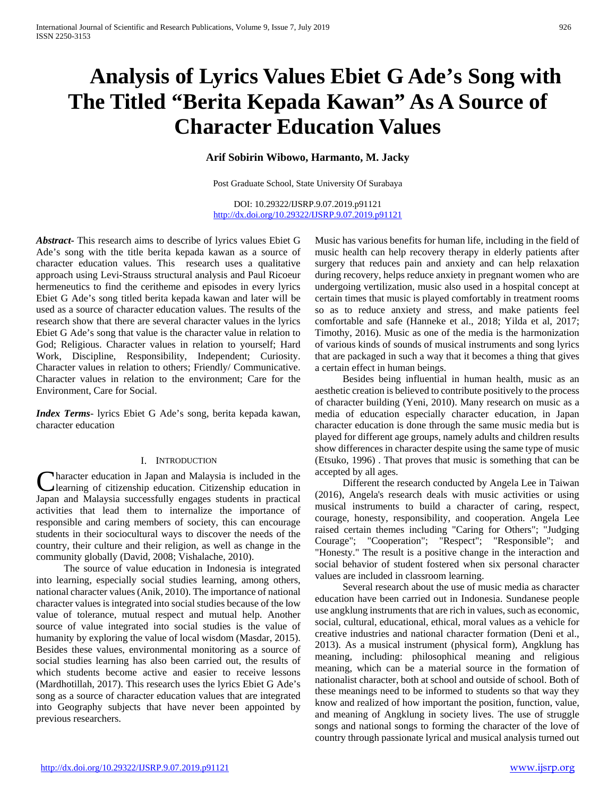# **Analysis of Lyrics Values Ebiet G Ade's Song with The Titled "Berita Kepada Kawan" As A Source of Character Education Values**

# **Arif Sobirin Wibowo, Harmanto, M. Jacky**

Post Graduate School, State University Of Surabaya

DOI: 10.29322/IJSRP.9.07.2019.p91121 <http://dx.doi.org/10.29322/IJSRP.9.07.2019.p91121>

*Abstract***-** This research aims to describe of lyrics values Ebiet G Ade's song with the title berita kepada kawan as a source of character education values. This research uses a qualitative approach using Levi-Strauss structural analysis and Paul Ricoeur hermeneutics to find the ceritheme and episodes in every lyrics Ebiet G Ade's song titled berita kepada kawan and later will be used as a source of character education values. The results of the research show that there are several character values in the lyrics Ebiet G Ade's song that value is the character value in relation to God; Religious. Character values in relation to yourself; Hard Work, Discipline, Responsibility, Independent; Curiosity. Character values in relation to others; Friendly/ Communicative. Character values in relation to the environment; Care for the Environment, Care for Social.

*Index Terms*- lyrics Ebiet G Ade's song, berita kepada kawan, character education

#### I. INTRODUCTION

haracter education in Japan and Malaysia is included in the learning of citizenship education. Citizenship education in Character education in Japan and Malaysia is included in the learning of citizenship education. Citizenship education in Japan and Malaysia successfully engages students in practical activities that lead them to internalize the importance of responsible and caring members of society, this can encourage students in their sociocultural ways to discover the needs of the country, their culture and their religion, as well as change in the community globally (David, 2008; Vishalache, 2010).

 The source of value education in Indonesia is integrated into learning, especially social studies learning, among others, national character values (Anik, 2010). The importance of national character values is integrated into social studies because of the low value of tolerance, mutual respect and mutual help. Another source of value integrated into social studies is the value of humanity by exploring the value of local wisdom (Masdar, 2015). Besides these values, environmental monitoring as a source of social studies learning has also been carried out, the results of which students become active and easier to receive lessons (Mardhotillah, 2017). This research uses the lyrics Ebiet G Ade's song as a source of character education values that are integrated into Geography subjects that have never been appointed by previous researchers.

Music has various benefits for human life, including in the field of music health can help recovery therapy in elderly patients after surgery that reduces pain and anxiety and can help relaxation during recovery, helps reduce anxiety in pregnant women who are undergoing vertilization, music also used in a hospital concept at certain times that music is played comfortably in treatment rooms so as to reduce anxiety and stress, and make patients feel comfortable and safe (Hanneke et al., 2018; Yilda et al, 2017; Timothy, 2016). Music as one of the media is the harmonization of various kinds of sounds of musical instruments and song lyrics that are packaged in such a way that it becomes a thing that gives a certain effect in human beings.

 Besides being influential in human health, music as an aesthetic creation is believed to contribute positively to the process of character building (Yeni, 2010). Many research on music as a media of education especially character education, in Japan character education is done through the same music media but is played for different age groups, namely adults and children results show differences in character despite using the same type of music (Etsuko, 1996) . That proves that music is something that can be accepted by all ages.

 Different the research conducted by Angela Lee in Taiwan (2016), Angela's research deals with music activities or using musical instruments to build a character of caring, respect, courage, honesty, responsibility, and cooperation. Angela Lee raised certain themes including "Caring for Others"; "Judging Courage"; "Cooperation"; "Respect"; "Responsible"; and "Honesty." The result is a positive change in the interaction and social behavior of student fostered when six personal character values are included in classroom learning.

 Several research about the use of music media as character education have been carried out in Indonesia. Sundanese people use angklung instruments that are rich in values, such as economic, social, cultural, educational, ethical, moral values as a vehicle for creative industries and national character formation (Deni et al., 2013). As a musical instrument (physical form), Angklung has meaning, including: philosophical meaning and religious meaning, which can be a material source in the formation of nationalist character, both at school and outside of school. Both of these meanings need to be informed to students so that way they know and realized of how important the position, function, value, and meaning of Angklung in society lives. The use of struggle songs and national songs to forming the character of the love of country through passionate lyrical and musical analysis turned out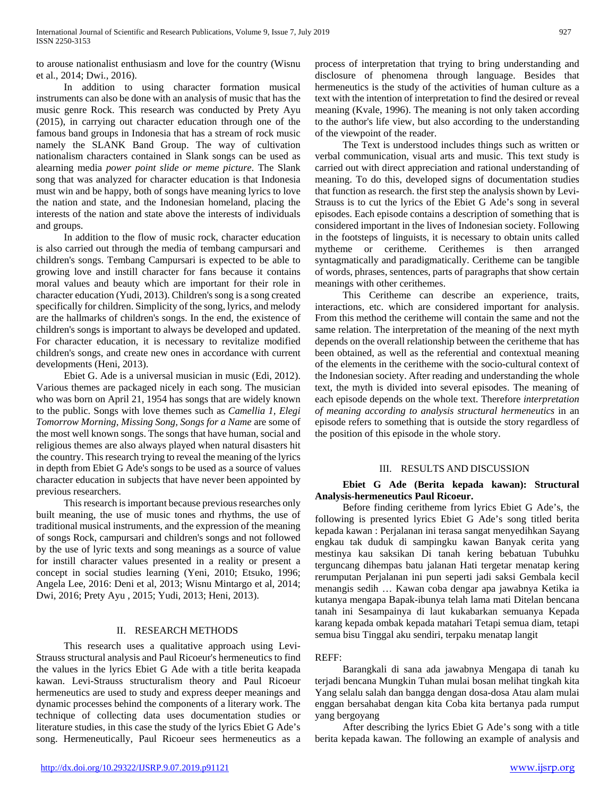to arouse nationalist enthusiasm and love for the country (Wisnu et al., 2014; Dwi., 2016).

 In addition to using character formation musical instruments can also be done with an analysis of music that has the music genre Rock. This research was conducted by Prety Ayu (2015), in carrying out character education through one of the famous band groups in Indonesia that has a stream of rock music namely the SLANK Band Group. The way of cultivation nationalism characters contained in Slank songs can be used as alearning media *power point slide or meme picture*. The Slank song that was analyzed for character education is that Indonesia must win and be happy, both of songs have meaning lyrics to love the nation and state, and the Indonesian homeland, placing the interests of the nation and state above the interests of individuals and groups.

 In addition to the flow of music rock, character education is also carried out through the media of tembang campursari and children's songs. Tembang Campursari is expected to be able to growing love and instill character for fans because it contains moral values and beauty which are important for their role in character education (Yudi, 2013). Children's song is a song created specifically for children. Simplicity of the song, lyrics, and melody are the hallmarks of children's songs. In the end, the existence of children's songs is important to always be developed and updated. For character education, it is necessary to revitalize modified children's songs, and create new ones in accordance with current developments (Heni, 2013).

 Ebiet G. Ade is a universal musician in music (Edi, 2012). Various themes are packaged nicely in each song. The musician who was born on April 21, 1954 has songs that are widely known to the public. Songs with love themes such as *Camellia 1, Elegi Tomorrow Morning, Missing Song, Songs for a Name* are some of the most well known songs. The songs that have human, social and religious themes are also always played when natural disasters hit the country. This research trying to reveal the meaning of the lyrics in depth from Ebiet G Ade's songs to be used as a source of values character education in subjects that have never been appointed by previous researchers.

 This research is important because previous researches only built meaning, the use of music tones and rhythms, the use of traditional musical instruments, and the expression of the meaning of songs Rock, campursari and children's songs and not followed by the use of lyric texts and song meanings as a source of value for instill character values presented in a reality or present a concept in social studies learning (Yeni, 2010; Etsuko, 1996; Angela Lee, 2016: Deni et al, 2013; Wisnu Mintargo et al, 2014; Dwi, 2016; Prety Ayu , 2015; Yudi, 2013; Heni, 2013).

# II. RESEARCH METHODS

 This research uses a qualitative approach using Levi-Strauss structural analysis and Paul Ricoeur's hermeneutics to find the values in the lyrics Ebiet G Ade with a title berita keapada kawan. Levi-Strauss structuralism theory and Paul Ricoeur hermeneutics are used to study and express deeper meanings and dynamic processes behind the components of a literary work. The technique of collecting data uses documentation studies or literature studies, in this case the study of the lyrics Ebiet G Ade's song. Hermeneutically, Paul Ricoeur sees hermeneutics as a process of interpretation that trying to bring understanding and disclosure of phenomena through language. Besides that hermeneutics is the study of the activities of human culture as a text with the intention of interpretation to find the desired or reveal meaning (Kvale, 1996). The meaning is not only taken according to the author's life view, but also according to the understanding of the viewpoint of the reader.

 The Text is understood includes things such as written or verbal communication, visual arts and music. This text study is carried out with direct appreciation and rational understanding of meaning. To do this, developed signs of documentation studies that function as research. the first step the analysis shown by Levi-Strauss is to cut the lyrics of the Ebiet G Ade's song in several episodes. Each episode contains a description of something that is considered important in the lives of Indonesian society. Following in the footsteps of linguists, it is necessary to obtain units called mytheme or ceritheme. Cerithemes is then arranged syntagmatically and paradigmatically. Ceritheme can be tangible of words, phrases, sentences, parts of paragraphs that show certain meanings with other cerithemes.

 This Ceritheme can describe an experience, traits, interactions, etc. which are considered important for analysis. From this method the ceritheme will contain the same and not the same relation. The interpretation of the meaning of the next myth depends on the overall relationship between the ceritheme that has been obtained, as well as the referential and contextual meaning of the elements in the ceritheme with the socio-cultural context of the Indonesian society. After reading and understanding the whole text, the myth is divided into several episodes. The meaning of each episode depends on the whole text. Therefore *interpretation of meaning according to analysis structural hermeneutics* in an episode refers to something that is outside the story regardless of the position of this episode in the whole story.

# III. RESULTS AND DISCUSSION

## **Ebiet G Ade (Berita kepada kawan): Structural Analysis-hermeneutics Paul Ricoeur.**

 Before finding ceritheme from lyrics Ebiet G Ade's, the following is presented lyrics Ebiet G Ade's song titled berita kepada kawan : Perjalanan ini terasa sangat menyedihkan Sayang engkau tak duduk di sampingku kawan Banyak cerita yang mestinya kau saksikan Di tanah kering bebatuan Tubuhku terguncang dihempas batu jalanan Hati tergetar menatap kering rerumputan Perjalanan ini pun seperti jadi saksi Gembala kecil menangis sedih … Kawan coba dengar apa jawabnya Ketika ia kutanya mengapa Bapak-ibunya telah lama mati Ditelan bencana tanah ini Sesampainya di laut kukabarkan semuanya Kepada karang kepada ombak kepada matahari Tetapi semua diam, tetapi semua bisu Tinggal aku sendiri, terpaku menatap langit

# REFF:

 Barangkali di sana ada jawabnya Mengapa di tanah ku terjadi bencana Mungkin Tuhan mulai bosan melihat tingkah kita Yang selalu salah dan bangga dengan dosa-dosa Atau alam mulai enggan bersahabat dengan kita Coba kita bertanya pada rumput yang bergoyang

 After describing the lyrics Ebiet G Ade's song with a title berita kepada kawan. The following an example of analysis and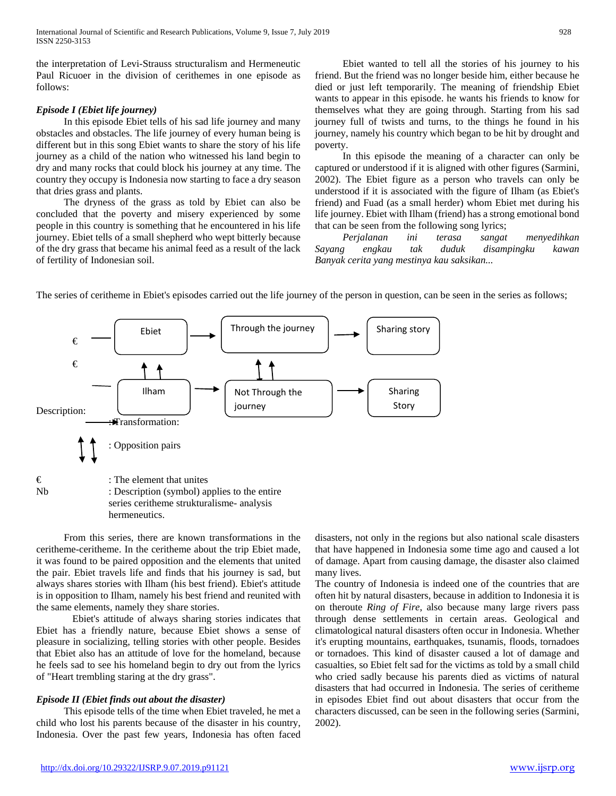the interpretation of Levi-Strauss structuralism and Hermeneutic Paul Ricuoer in the division of cerithemes in one episode as follows:

#### *Episode I (Ebiet life journey)*

 In this episode Ebiet tells of his sad life journey and many obstacles and obstacles. The life journey of every human being is different but in this song Ebiet wants to share the story of his life journey as a child of the nation who witnessed his land begin to dry and many rocks that could block his journey at any time. The country they occupy is Indonesia now starting to face a dry season that dries grass and plants.

 The dryness of the grass as told by Ebiet can also be concluded that the poverty and misery experienced by some people in this country is something that he encountered in his life journey. Ebiet tells of a small shepherd who wept bitterly because of the dry grass that became his animal feed as a result of the lack of fertility of Indonesian soil.

 Ebiet wanted to tell all the stories of his journey to his friend. But the friend was no longer beside him, either because he died or just left temporarily. The meaning of friendship Ebiet wants to appear in this episode. he wants his friends to know for themselves what they are going through. Starting from his sad journey full of twists and turns, to the things he found in his journey, namely his country which began to be hit by drought and poverty.

 In this episode the meaning of a character can only be captured or understood if it is aligned with other figures (Sarmini, 2002). The Ebiet figure as a person who travels can only be understood if it is associated with the figure of Ilham (as Ebiet's friend) and Fuad (as a small herder) whom Ebiet met during his life journey. Ebiet with Ilham (friend) has a strong emotional bond that can be seen from the following song lyrics;

 *Perjalanan ini terasa sangat menyedihkan Sayang engkau tak duduk disampingku kawan Banyak cerita yang mestinya kau saksikan...*



The series of ceritheme in Ebiet's episodes carried out the life journey of the person in question, can be seen in the series as follows;

 From this series, there are known transformations in the ceritheme-ceritheme. In the ceritheme about the trip Ebiet made, it was found to be paired opposition and the elements that united the pair. Ebiet travels life and finds that his journey is sad, but always shares stories with Ilham (his best friend). Ebiet's attitude is in opposition to Ilham, namely his best friend and reunited with the same elements, namely they share stories.

Ebiet's attitude of always sharing stories indicates that Ebiet has a friendly nature, because Ebiet shows a sense of pleasure in socializing, telling stories with other people. Besides that Ebiet also has an attitude of love for the homeland, because he feels sad to see his homeland begin to dry out from the lyrics of "Heart trembling staring at the dry grass".

### *Episode II (Ebiet finds out about the disaster)*

 This episode tells of the time when Ebiet traveled, he met a child who lost his parents because of the disaster in his country, Indonesia. Over the past few years, Indonesia has often faced

disasters, not only in the regions but also national scale disasters that have happened in Indonesia some time ago and caused a lot of damage. Apart from causing damage, the disaster also claimed many lives.

The country of Indonesia is indeed one of the countries that are often hit by natural disasters, because in addition to Indonesia it is on theroute *Ring of Fire*, also because many large rivers pass through dense settlements in certain areas. Geological and climatological natural disasters often occur in Indonesia. Whether it's erupting mountains, earthquakes, tsunamis, floods, tornadoes or tornadoes. This kind of disaster caused a lot of damage and casualties, so Ebiet felt sad for the victims as told by a small child who cried sadly because his parents died as victims of natural disasters that had occurred in Indonesia. The series of ceritheme in episodes Ebiet find out about disasters that occur from the characters discussed, can be seen in the following series (Sarmini, 2002).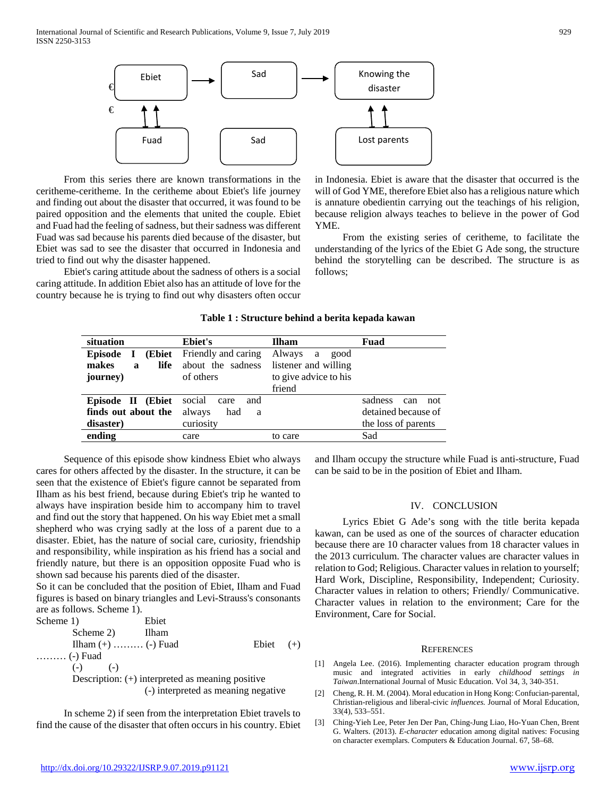

 From this series there are known transformations in the ceritheme-ceritheme. In the ceritheme about Ebiet's life journey and finding out about the disaster that occurred, it was found to be paired opposition and the elements that united the couple. Ebiet and Fuad had the feeling of sadness, but their sadness was different Fuad was sad because his parents died because of the disaster, but Ebiet was sad to see the disaster that occurred in Indonesia and tried to find out why the disaster happened.

 Ebiet's caring attitude about the sadness of others is a social caring attitude. In addition Ebiet also has an attitude of love for the country because he is trying to find out why disasters often occur



in Indonesia. Ebiet is aware that the disaster that occurred is the will of God YME, therefore Ebiet also has a religious nature which is annature obedientin carrying out the teachings of his religion, because religion always teaches to believe in the power of God YME.

 From the existing series of ceritheme, to facilitate the understanding of the lyrics of the Ebiet G Ade song, the structure behind the storytelling can be described. The structure is as follows;

| Table 1 : Structure behind a berita kepada kawan |  |
|--------------------------------------------------|--|
|--------------------------------------------------|--|

| situation                                 | Ebiet's               | <b>Ilham</b>          | Fuad                  |  |
|-------------------------------------------|-----------------------|-----------------------|-----------------------|--|
| <b>Episode</b><br>(Ebiet)<br>$\mathbf{I}$ | Friendly and caring   | Always a<br>good      |                       |  |
| life<br>makes<br>$\mathbf a$              | about the sadness     | listener and willing  |                       |  |
| journey)                                  | of others             | to give advice to his |                       |  |
|                                           |                       | friend                |                       |  |
| Episode II (Ebiet                         | social<br>and<br>care |                       | sadness<br>not<br>can |  |
| finds out about the                       | always<br>had<br>a    |                       | detained because of   |  |
| disaster)                                 | curiosity             |                       | the loss of parents   |  |
| ending                                    | care                  | to care               | Sad                   |  |

 Sequence of this episode show kindness Ebiet who always cares for others affected by the disaster. In the structure, it can be seen that the existence of Ebiet's figure cannot be separated from Ilham as his best friend, because during Ebiet's trip he wanted to always have inspiration beside him to accompany him to travel and find out the story that happened. On his way Ebiet met a small shepherd who was crying sadly at the loss of a parent due to a disaster. Ebiet, has the nature of social care, curiosity, friendship and responsibility, while inspiration as his friend has a social and friendly nature, but there is an opposition opposite Fuad who is shown sad because his parents died of the disaster.

So it can be concluded that the position of Ebiet, Ilham and Fuad figures is based on binary triangles and Levi-Strauss's consonants are as follows. Scheme 1).

| Scheme 1)                                          | Ebiet                               |             |  |  |  |
|----------------------------------------------------|-------------------------------------|-------------|--|--|--|
| Scheme 2)                                          | Ilham                               |             |  |  |  |
| Ilham $(+)$ $(-)$ Fuad                             |                                     | Ebiet $(+)$ |  |  |  |
| $\ldots$ (-) Fuad                                  |                                     |             |  |  |  |
| $(-)$ $(-)$                                        |                                     |             |  |  |  |
| Description: $(+)$ interpreted as meaning positive |                                     |             |  |  |  |
|                                                    | (-) interpreted as meaning negative |             |  |  |  |

 In scheme 2) if seen from the interpretation Ebiet travels to find the cause of the disaster that often occurs in his country. Ebiet and Ilham occupy the structure while Fuad is anti-structure, Fuad can be said to be in the position of Ebiet and Ilham.

#### IV. CONCLUSION

 Lyrics Ebiet G Ade's song with the title berita kepada kawan, can be used as one of the sources of character education because there are 10 character values from 18 character values in the 2013 curriculum. The character values are character values in relation to God; Religious. Character values in relation to yourself; Hard Work, Discipline, Responsibility, Independent; Curiosity. Character values in relation to others; Friendly/ Communicative. Character values in relation to the environment; Care for the Environment, Care for Social.

#### **REFERENCES**

- [1] Angela Lee. (2016). Implementing character education program through music and integrated activities in early *childhood settings in Taiwan*.International Journal of Music Education. Vol 34, 3, 340-351.
- [2] Cheng, R. H. M. (2004). Moral education in Hong Kong: Confucian-parental, Christian-religious and liberal-civic *influences.* Journal of Moral Education, 33(4), 533–551.
- [3] Ching-Yieh Lee, Peter Jen Der Pan, Ching-Jung Liao, Ho-Yuan Chen, Brent G. Walters. (2013). *E-character* education among digital natives: Focusing on character exemplars. Computers & Education Journal. 67, 58–68.